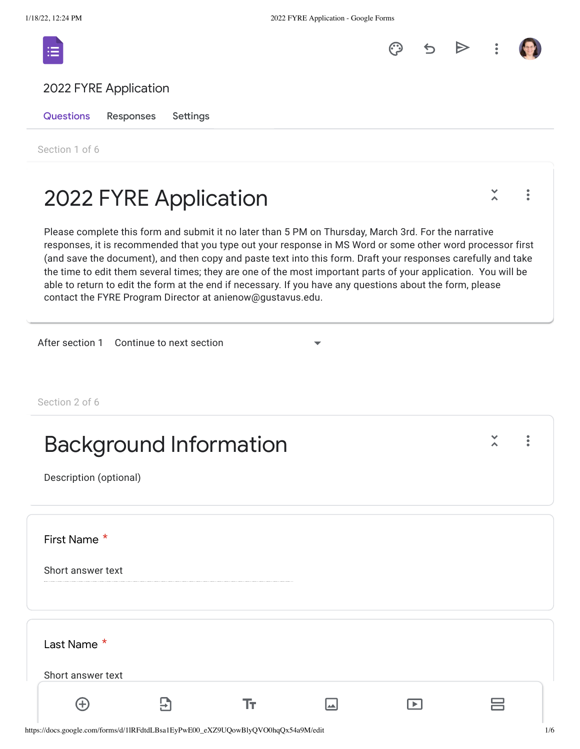



 $\ddot{\bullet}$ 



Questions Responses Settings

Section 1 of 6

## 2022 FYRE Application

Please complete this form and submit it no later than 5 PM on Thursday, March 3rd. For the narrative responses, it is recommended that you type out your response in MS Word or some other word processor first (and save the document), and then copy and paste text into this form. Draft your responses carefully and take the time to edit them several times; they are one of the most important parts of your application. You will be able to return to edit the form at the end if necessary. If you have any questions about the form, please contact the FYRE Program Director at anienow@gustavus.edu.

After section 1 Continue to next section

Section 2 of 6

| <b>Background Information</b><br>Description (optional) |  |    |  |  | ٠<br>٠ |
|---------------------------------------------------------|--|----|--|--|--------|
| First Name *<br>Short answer text                       |  |    |  |  |        |
| Last Name *<br>Short answer text                        |  |    |  |  |        |
|                                                         |  | I۳ |  |  |        |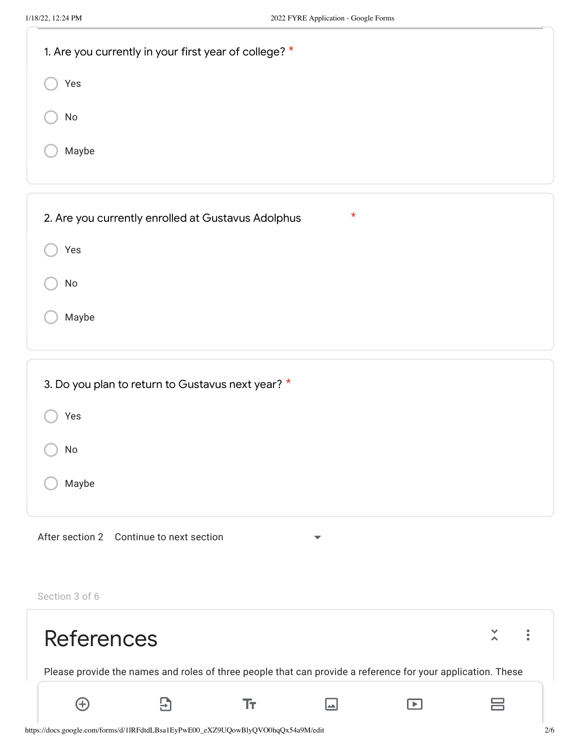| 1. Are you currently in your first year of college? *            |
|------------------------------------------------------------------|
| Yes                                                              |
| No                                                               |
| Maybe                                                            |
|                                                                  |
| $\star$<br>2. Are you currently enrolled at Gustavus Adolphus    |
| Yes                                                              |
| No                                                               |
| Maybe                                                            |
|                                                                  |
| 3. Do you plan to return to Gustavus next year? *                |
| Yes                                                              |
| No                                                               |
| Maybe                                                            |
| After section 2 Continue to next section<br>$\blacktriangledown$ |
| Section 3 of 6                                                   |

| <b>References</b>                                                                                           |  |      |  |  |                          |  |
|-------------------------------------------------------------------------------------------------------------|--|------|--|--|--------------------------|--|
| Please provide the names and roles of three people that can provide a reference for your application. These |  |      |  |  |                          |  |
|                                                                                                             |  | l w. |  |  | $\overline{\phantom{0}}$ |  |

https://docs.google.com/forms/d/1lRFdtdLBsa1EyPwE00\_eXZ9UQowBlyQVO0hqQx54a9M/edit 2/6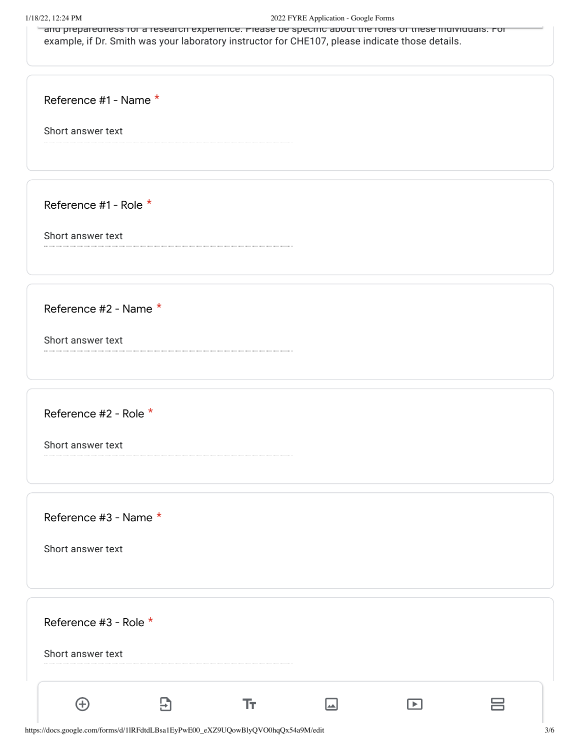## 1/18/22, 12:24 PM 2022 FYRE Application - Google Forms

 $\pm$ and preparedness for a research experience. Please be specific about the roles of these individuals. For example, if Dr. Smith was your laboratory instructor for CHE107, please indicate those details.

Reference #1 - Name \*

Short answer text

Reference #1 - Role \*

Short answer text

Reference #2 - Name \*

Short answer text

Reference #2 - Role \*

Short answer text

Reference #3 - Name \*

Short answer text

Reference #3 - Role \* Short answer text  $\bigoplus$  $\overline{\Xi}$ Tr.  $\Box$ 吕  $\Box$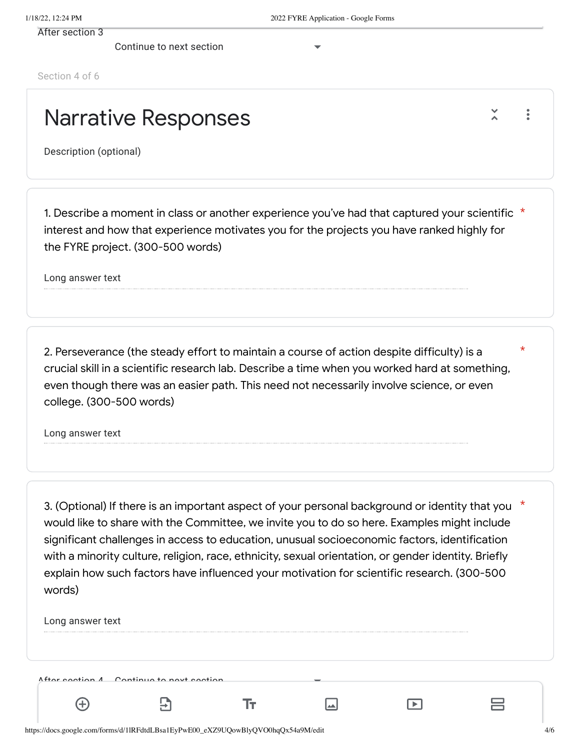After section 3

Continue to next section

Section 4 of 6

## Narrative Responses

Description (optional)

1. Describe a moment in class or another experience you've had that captured your scientific  $\,^{\star}$ interest and how that experience motivates you for the projects you have ranked highly for the FYRE project. (300-500 words)

Long answer text

2. Perseverance (the steady effort to maintain a course of action despite difficulty) is a crucial skill in a scientific research lab. Describe a time when you worked hard at something, even though there was an easier path. This need not necessarily involve science, or even college. (300-500 words)

Long answer text

\* 3. (Optional) If there is an important aspect of your personal background or identity that you would like to share with the Committee, we invite you to do so here. Examples might include significant challenges in access to education, unusual socioeconomic factors, identification with a minority culture, religion, race, ethnicity, sexual orientation, or gender identity. Briefly explain how such factors have influenced your motivation for scientific research. (300-500 words)

 $\boxed{\phantom{1}}$ 

Ŧт

Long answer text

 $\left( +\right)$ 

After continue 1 Continue to next continue

5)

吕

 $\blacksquare$ 

\*

 $\ddot{\phantom{a}}$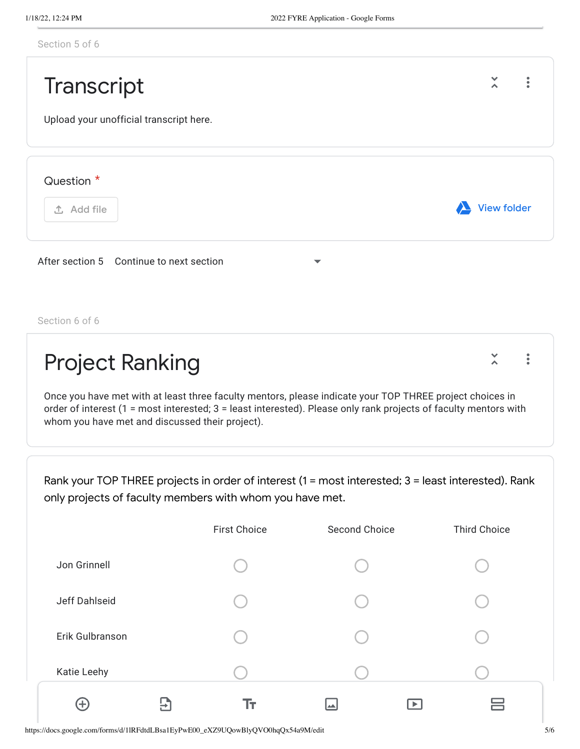|  |  | Section 5 of 6 |  |
|--|--|----------------|--|
|  |  |                |  |



Once you have met with at least three faculty mentors, please indicate your TOP THREE project choices in order of interest (1 = most interested; 3 = least interested). Please only rank projects of faculty mentors with whom you have met and discussed their project).

Rank your TOP THREE projects in order of interest (1 = most interested; 3 = least interested). Rank only projects of faculty members with whom you have met.

|                                    | <b>First Choice</b> | Second Choice | <b>Third Choice</b> |
|------------------------------------|---------------------|---------------|---------------------|
| Jon Grinnell                       |                     |               |                     |
| Jeff Dahlseid                      |                     |               |                     |
| Erik Gulbranson                    |                     |               |                     |
| Katie Leehy                        |                     |               |                     |
| $\left( +\right)$<br>$\rightarrow$ | Тт                  | ▎▟▟           |                     |

https://docs.google.com/forms/d/1lRFdtdLBsa1EyPwE00\_eXZ9UQowBlyQVO0hqQx54a9M/edit 5/6